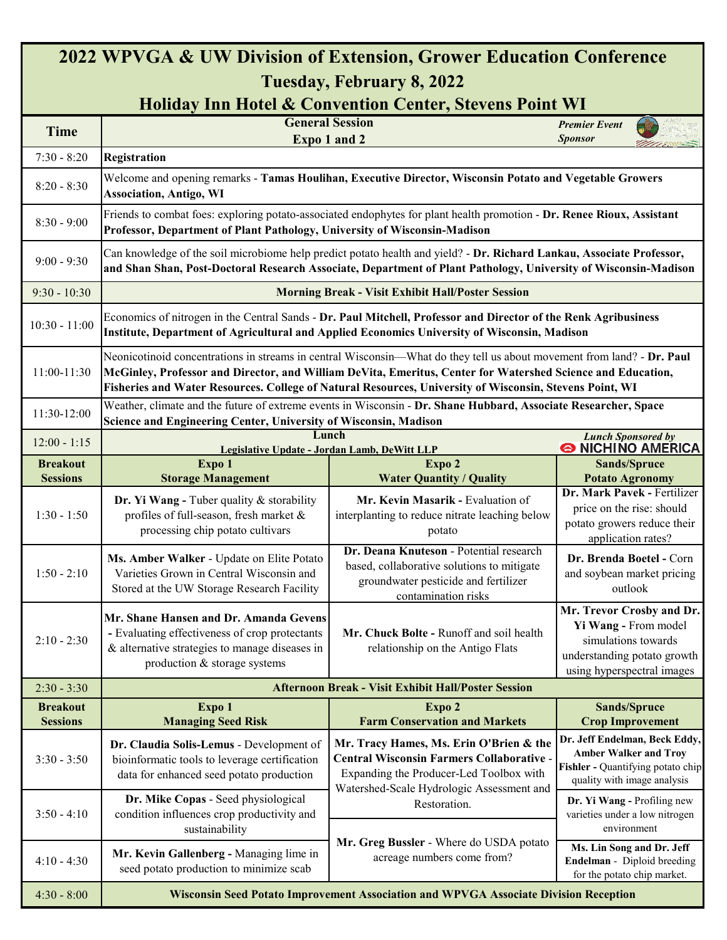## **2022 WPVGA & UW Division of Extension, Grower Education Conference Tuesday, February 8, 2022**

### **Holiday Inn Hotel & Convention Center, Stevens Point WI**

| понау ній помі & Сонтенион Сенат, эктепь і они тут |                                                                                                                                                                                                                                                                                                                                                  |                                                                                                                                                                                     |                                                                                                                                       |  |  |
|----------------------------------------------------|--------------------------------------------------------------------------------------------------------------------------------------------------------------------------------------------------------------------------------------------------------------------------------------------------------------------------------------------------|-------------------------------------------------------------------------------------------------------------------------------------------------------------------------------------|---------------------------------------------------------------------------------------------------------------------------------------|--|--|
| <b>Time</b>                                        | <b>General Session</b><br>Expo 1 and 2                                                                                                                                                                                                                                                                                                           |                                                                                                                                                                                     | <b>Premier Event</b><br><b>Sponsor</b>                                                                                                |  |  |
| $7:30 - 8:20$<br>Registration                      |                                                                                                                                                                                                                                                                                                                                                  |                                                                                                                                                                                     |                                                                                                                                       |  |  |
| $8:20 - 8:30$                                      | Welcome and opening remarks - Tamas Houlihan, Executive Director, Wisconsin Potato and Vegetable Growers<br><b>Association, Antigo, WI</b>                                                                                                                                                                                                       |                                                                                                                                                                                     |                                                                                                                                       |  |  |
| $8:30 - 9:00$                                      | Friends to combat foes: exploring potato-associated endophytes for plant health promotion - Dr. Renee Rioux, Assistant<br>Professor, Department of Plant Pathology, University of Wisconsin-Madison                                                                                                                                              |                                                                                                                                                                                     |                                                                                                                                       |  |  |
| $9:00 - 9:30$                                      | Can knowledge of the soil microbiome help predict potato health and yield? - Dr. Richard Lankau, Associate Professor,<br>and Shan Shan, Post-Doctoral Research Associate, Department of Plant Pathology, University of Wisconsin-Madison                                                                                                         |                                                                                                                                                                                     |                                                                                                                                       |  |  |
| $9:30 - 10:30$                                     | <b>Morning Break - Visit Exhibit Hall/Poster Session</b>                                                                                                                                                                                                                                                                                         |                                                                                                                                                                                     |                                                                                                                                       |  |  |
| $10:30 - 11:00$                                    | Economics of nitrogen in the Central Sands - Dr. Paul Mitchell, Professor and Director of the Renk Agribusiness<br>Institute, Department of Agricultural and Applied Economics University of Wisconsin, Madison                                                                                                                                  |                                                                                                                                                                                     |                                                                                                                                       |  |  |
| 11:00-11:30                                        | Neonicotinoid concentrations in streams in central Wisconsin—What do they tell us about movement from land? - Dr. Paul<br>McGinley, Professor and Director, and William DeVita, Emeritus, Center for Watershed Science and Education,<br>Fisheries and Water Resources. College of Natural Resources, University of Wisconsin, Stevens Point, WI |                                                                                                                                                                                     |                                                                                                                                       |  |  |
| 11:30-12:00                                        | Weather, climate and the future of extreme events in Wisconsin - Dr. Shane Hubbard, Associate Researcher, Space<br>Science and Engineering Center, University of Wisconsin, Madison                                                                                                                                                              |                                                                                                                                                                                     |                                                                                                                                       |  |  |
| $12:00 - 1:15$                                     | Lunch<br><b>Lunch Sponsored by</b><br><b>S NICHINO AMERICA</b><br>Legislative Update - Jordan Lamb, DeWitt LLP                                                                                                                                                                                                                                   |                                                                                                                                                                                     |                                                                                                                                       |  |  |
| <b>Breakout</b>                                    | Expo 1                                                                                                                                                                                                                                                                                                                                           | Expo 2                                                                                                                                                                              | <b>Sands/Spruce</b>                                                                                                                   |  |  |
| <b>Sessions</b>                                    | <b>Storage Management</b>                                                                                                                                                                                                                                                                                                                        | <b>Water Quantity / Quality</b>                                                                                                                                                     | <b>Potato Agronomy</b><br>Dr. Mark Pavek - Fertilizer                                                                                 |  |  |
| $1:30 - 1:50$                                      | Dr. Yi Wang - Tuber quality & storability<br>profiles of full-season, fresh market &<br>processing chip potato cultivars                                                                                                                                                                                                                         | Mr. Kevin Masarik - Evaluation of<br>interplanting to reduce nitrate leaching below<br>potato                                                                                       | price on the rise: should<br>potato growers reduce their<br>application rates?                                                        |  |  |
| $1:50 - 2:10$                                      | Ms. Amber Walker - Update on Elite Potato<br>Varieties Grown in Central Wisconsin and<br>Stored at the UW Storage Research Facility                                                                                                                                                                                                              | Dr. Deana Knuteson - Potential research<br>based, collaborative solutions to mitigate<br>groundwater pesticide and fertilizer<br>contamination risks                                | Dr. Brenda Boetel - Corn<br>and soybean market pricing<br>outlook                                                                     |  |  |
| $2:10 - 2:30$                                      | Mr. Shane Hansen and Dr. Amanda Gevens<br>- Evaluating effectiveness of crop protectants<br>& alternative strategies to manage diseases in<br>production & storage systems                                                                                                                                                                       | Mr. Chuck Bolte - Runoff and soil health<br>relationship on the Antigo Flats                                                                                                        | Mr. Trevor Crosby and Dr.<br>Yi Wang - From model<br>simulations towards<br>understanding potato growth<br>using hyperspectral images |  |  |
| $2:30 - 3:30$                                      | <b>Afternoon Break - Visit Exhibit Hall/Poster Session</b>                                                                                                                                                                                                                                                                                       |                                                                                                                                                                                     |                                                                                                                                       |  |  |
| <b>Breakout</b><br><b>Sessions</b>                 | Expo 1<br><b>Managing Seed Risk</b>                                                                                                                                                                                                                                                                                                              | Expo 2<br><b>Farm Conservation and Markets</b>                                                                                                                                      | <b>Sands/Spruce</b><br><b>Crop Improvement</b>                                                                                        |  |  |
| $3:30 - 3:50$                                      | Dr. Claudia Solis-Lemus - Development of<br>bioinformatic tools to leverage certification<br>data for enhanced seed potato production                                                                                                                                                                                                            | Mr. Tracy Hames, Ms. Erin O'Brien & the<br><b>Central Wisconsin Farmers Collaborative -</b><br>Expanding the Producer-Led Toolbox with<br>Watershed-Scale Hydrologic Assessment and | Dr. Jeff Endelman, Beck Eddy,<br><b>Amber Walker and Troy</b><br>Fishler - Quantifying potato chip<br>quality with image analysis     |  |  |
| $3:50 - 4:10$                                      | Dr. Mike Copas - Seed physiological<br>condition influences crop productivity and<br>sustainability                                                                                                                                                                                                                                              | Restoration.                                                                                                                                                                        | Dr. Yi Wang - Profiling new<br>varieties under a low nitrogen<br>environment                                                          |  |  |
| $4:10 - 4:30$                                      | Mr. Kevin Gallenberg - Managing lime in<br>seed potato production to minimize scab                                                                                                                                                                                                                                                               | Mr. Greg Bussler - Where do USDA potato<br>acreage numbers come from?                                                                                                               | Ms. Lin Song and Dr. Jeff<br>Endelman - Diploid breeding<br>for the potato chip market.                                               |  |  |
| $4:30 - 8:00$                                      |                                                                                                                                                                                                                                                                                                                                                  | Wisconsin Seed Potato Improvement Association and WPVGA Associate Division Reception                                                                                                |                                                                                                                                       |  |  |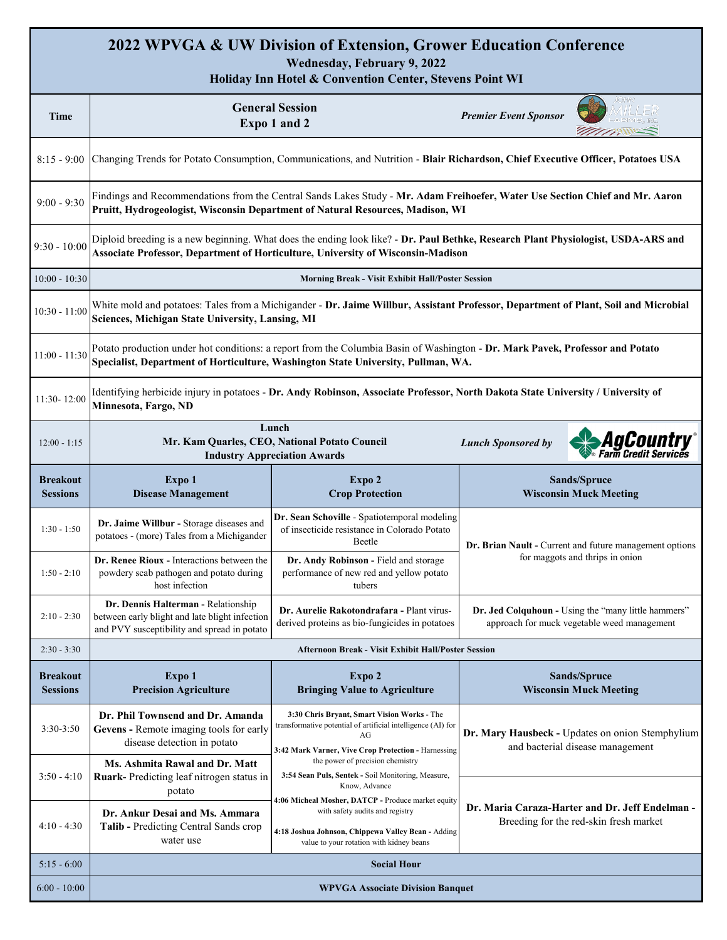#### **2022 WPVGA & UW Division of Extension, Grower Education Conference Wednesday, February 9, 2022**

**Holiday Inn Hotel & Convention Center, Stevens Point WI**

| Time                               | <b>General Session</b><br>Expo 1 and 2                                                                                                                                                                                |                                                                                                                                                                                         | <b>Premier Event Sponsor</b><br><b>MANN</b>                                                        |  |  |
|------------------------------------|-----------------------------------------------------------------------------------------------------------------------------------------------------------------------------------------------------------------------|-----------------------------------------------------------------------------------------------------------------------------------------------------------------------------------------|----------------------------------------------------------------------------------------------------|--|--|
| $8:15 - 9:00$                      | Changing Trends for Potato Consumption, Communications, and Nutrition - Blair Richardson, Chief Executive Officer, Potatoes USA                                                                                       |                                                                                                                                                                                         |                                                                                                    |  |  |
| $9:00 - 9:30$                      | Findings and Recommendations from the Central Sands Lakes Study - Mr. Adam Freihoefer, Water Use Section Chief and Mr. Aaron<br>Pruitt, Hydrogeologist, Wisconsin Department of Natural Resources, Madison, WI        |                                                                                                                                                                                         |                                                                                                    |  |  |
| $9:30 - 10:00$                     | Diploid breeding is a new beginning. What does the ending look like? - Dr. Paul Bethke, Research Plant Physiologist, USDA-ARS and<br>Associate Professor, Department of Horticulture, University of Wisconsin-Madison |                                                                                                                                                                                         |                                                                                                    |  |  |
| $10:00 - 10:30$                    | <b>Morning Break - Visit Exhibit Hall/Poster Session</b>                                                                                                                                                              |                                                                                                                                                                                         |                                                                                                    |  |  |
| $10:30 - 11:00$                    | White mold and potatoes: Tales from a Michigander - Dr. Jaime Willbur, Assistant Professor, Department of Plant, Soil and Microbial<br>Sciences, Michigan State University, Lansing, MI                               |                                                                                                                                                                                         |                                                                                                    |  |  |
| $11:00 - 11:30$                    | Potato production under hot conditions: a report from the Columbia Basin of Washington - Dr. Mark Pavek, Professor and Potato<br>Specialist, Department of Horticulture, Washington State University, Pullman, WA.    |                                                                                                                                                                                         |                                                                                                    |  |  |
| 11:30-12:00                        | Identifying herbicide injury in potatoes - Dr. Andy Robinson, Associate Professor, North Dakota State University / University of<br>Minnesota, Fargo, ND                                                              |                                                                                                                                                                                         |                                                                                                    |  |  |
| $12:00 - 1:15$                     | Lunch<br>AgCountry<br>Mr. Kam Quarles, CEO, National Potato Council<br><b>Lunch Sponsored by</b><br>arm Credit Services<br><b>Industry Appreciation Awards</b>                                                        |                                                                                                                                                                                         |                                                                                                    |  |  |
| Breakout<br><b>Sessions</b>        | Expo 1<br><b>Disease Management</b>                                                                                                                                                                                   | Expo 2<br><b>Crop Protection</b>                                                                                                                                                        | Sands/Spruce<br><b>Wisconsin Muck Meeting</b>                                                      |  |  |
| $1:30 - 1:50$                      | Dr. Jaime Willbur - Storage diseases and<br>potatoes - (more) Tales from a Michigander                                                                                                                                | Dr. Sean Schoville - Spatiotemporal modeling<br>of insecticide resistance in Colorado Potato<br>Beetle                                                                                  | Dr. Brian Nault - Current and future management options                                            |  |  |
| $1:50 - 2:10$                      | Dr. Renee Rioux - Interactions between the<br>powdery scab pathogen and potato during<br>host infection                                                                                                               | Dr. Andy Robinson - Field and storage<br>performance of new red and yellow potato<br>tubers                                                                                             | for maggots and thrips in onion                                                                    |  |  |
| $2:10 - 2:30$                      | Dr. Dennis Halterman - Relationship<br>between early blight and late blight infection<br>and PVY susceptibility and spread in potato                                                                                  | Dr. Aurelie Rakotondrafara - Plant virus-<br>derived proteins as bio-fungicides in potatoes                                                                                             | Dr. Jed Colquhoun - Using the "many little hammers"<br>approach for muck vegetable weed management |  |  |
| $2:30 - 3:30$                      | Afternoon Break - Visit Exhibit Hall/Poster Session                                                                                                                                                                   |                                                                                                                                                                                         |                                                                                                    |  |  |
| <b>Breakout</b><br><b>Sessions</b> | Expo 1<br><b>Precision Agriculture</b>                                                                                                                                                                                | Expo 2<br><b>Bringing Value to Agriculture</b>                                                                                                                                          | Sands/Spruce<br><b>Wisconsin Muck Meeting</b>                                                      |  |  |
| 3:30-3:50                          | Dr. Phil Townsend and Dr. Amanda<br>Gevens - Remote imaging tools for early<br>disease detection in potato                                                                                                            | 3:30 Chris Bryant, Smart Vision Works - The<br>transformative potential of artificial intelligence (AI) for<br>AG<br>3:42 Mark Varner, Vive Crop Protection - Harnessing                | Dr. Mary Hausbeck - Updates on onion Stemphylium<br>and bacterial disease management               |  |  |
| $3:50 - 4:10$                      | Ms. Ashmita Rawal and Dr. Matt<br>Ruark-Predicting leaf nitrogen status in<br>potato                                                                                                                                  | the power of precision chemistry<br>3:54 Sean Puls, Sentek - Soil Monitoring, Measure,<br>Know, Advance                                                                                 |                                                                                                    |  |  |
| 4:10 - 4:30                        | Dr. Ankur Desai and Ms. Ammara<br>Talib - Predicting Central Sands crop<br>water use                                                                                                                                  | 4:06 Micheal Mosher, DATCP - Produce market equity<br>with safety audits and registry<br>4:18 Joshua Johnson, Chippewa Valley Bean - Adding<br>value to your rotation with kidney beans | Dr. Maria Caraza-Harter and Dr. Jeff Endelman -<br>Breeding for the red-skin fresh market          |  |  |
| $5:15 - 6:00$                      | <b>Social Hour</b>                                                                                                                                                                                                    |                                                                                                                                                                                         |                                                                                                    |  |  |
| $6:00 - 10:00$                     | <b>WPVGA Associate Division Banquet</b>                                                                                                                                                                               |                                                                                                                                                                                         |                                                                                                    |  |  |